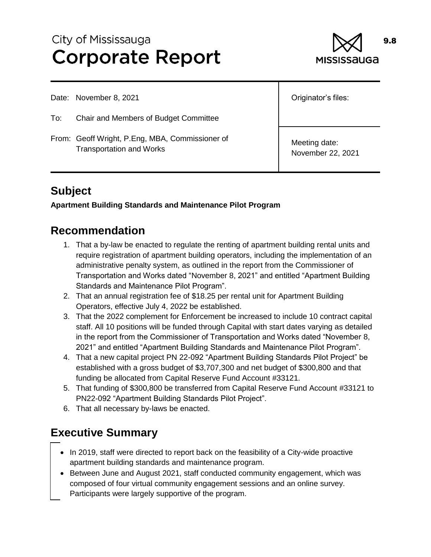# City of Mississauga **Corporate Report**



Date: November 8, 2021

To: Chair and Members of Budget Committee

From: Geoff Wright, P.Eng, MBA, Commissioner of Transportation and Works

Originator's files:

Meeting date: November 22, 2021

# **Subject**

**Apartment Building Standards and Maintenance Pilot Program**

### **Recommendation**

- 1. That a by-law be enacted to regulate the renting of apartment building rental units and require registration of apartment building operators, including the implementation of an administrative penalty system, as outlined in the report from the Commissioner of Transportation and Works dated "November 8, 2021" and entitled "Apartment Building Standards and Maintenance Pilot Program".
- 2. That an annual registration fee of \$18.25 per rental unit for Apartment Building Operators, effective July 4, 2022 be established.
- 3. That the 2022 complement for Enforcement be increased to include 10 contract capital staff. All 10 positions will be funded through Capital with start dates varying as detailed in the report from the Commissioner of Transportation and Works dated "November 8, 2021" and entitled "Apartment Building Standards and Maintenance Pilot Program".
- 4. That a new capital project PN 22-092 "Apartment Building Standards Pilot Project" be established with a gross budget of \$3,707,300 and net budget of \$300,800 and that funding be allocated from Capital Reserve Fund Account #33121.
- 5. That funding of \$300,800 be transferred from Capital Reserve Fund Account #33121 to PN22-092 "Apartment Building Standards Pilot Project".
- 6. That all necessary by-laws be enacted.

## **Executive Summary**

- In 2019, staff were directed to report back on the feasibility of a City-wide proactive apartment building standards and maintenance program.
- Between June and August 2021, staff conducted community engagement, which was composed of four virtual community engagement sessions and an online survey. Participants were largely supportive of the program.

9.8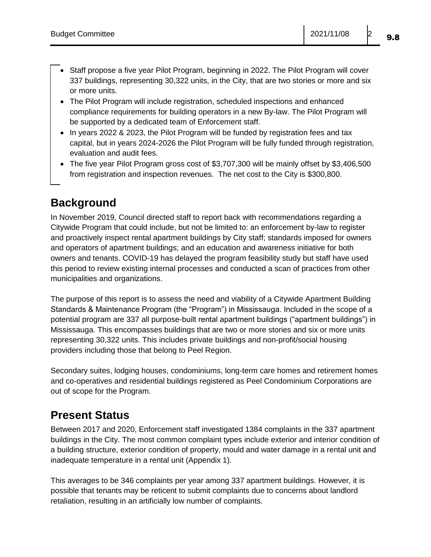- Staff propose a five year Pilot Program, beginning in 2022. The Pilot Program will cover 337 buildings, representing 30,322 units, in the City, that are two stories or more and six or more units.
- The Pilot Program will include registration, scheduled inspections and enhanced compliance requirements for building operators in a new By-law. The Pilot Program will be supported by a dedicated team of Enforcement staff.
- In years 2022 & 2023, the Pilot Program will be funded by registration fees and tax capital, but in years 2024-2026 the Pilot Program will be fully funded through registration, evaluation and audit fees.
- The five year Pilot Program gross cost of \$3,707,300 will be mainly offset by \$3,406,500 from registration and inspection revenues. The net cost to the City is \$300,800.

### **Background**

In November 2019, Council directed staff to report back with recommendations regarding a Citywide Program that could include, but not be limited to: an enforcement by-law to register and proactively inspect rental apartment buildings by City staff; standards imposed for owners and operators of apartment buildings; and an education and awareness initiative for both owners and tenants. COVID-19 has delayed the program feasibility study but staff have used this period to review existing internal processes and conducted a scan of practices from other municipalities and organizations.

The purpose of this report is to assess the need and viability of a Citywide Apartment Building Standards & Maintenance Program (the "Program") in Mississauga. Included in the scope of a potential program are 337 all purpose-built rental apartment buildings ("apartment buildings") in Mississauga. This encompasses buildings that are two or more stories and six or more units representing 30,322 units. This includes private buildings and non-profit/social housing providers including those that belong to Peel Region.

Secondary suites, lodging houses, condominiums, long-term care homes and retirement homes and co-operatives and residential buildings registered as Peel Condominium Corporations are out of scope for the Program.

### **Present Status**

Between 2017 and 2020, Enforcement staff investigated 1384 complaints in the 337 apartment buildings in the City. The most common complaint types include exterior and interior condition of a building structure, exterior condition of property, mould and water damage in a rental unit and inadequate temperature in a rental unit (Appendix 1).

This averages to be 346 complaints per year among 337 apartment buildings. However, it is possible that tenants may be reticent to submit complaints due to concerns about landlord retaliation, resulting in an artificially low number of complaints.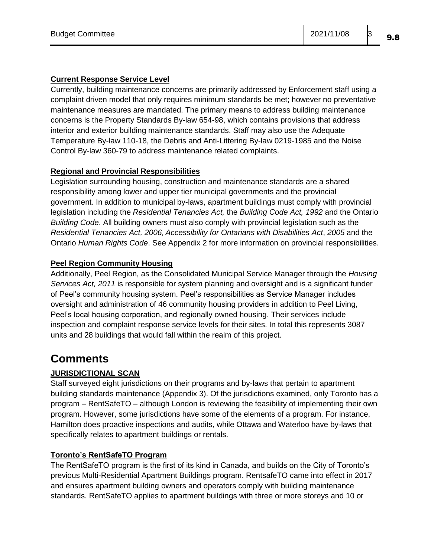#### **Current Response Service Level**

Currently, building maintenance concerns are primarily addressed by Enforcement staff using a complaint driven model that only requires minimum standards be met; however no preventative maintenance measures are mandated. The primary means to address building maintenance concerns is the Property Standards By-law 654-98, which contains provisions that address interior and exterior building maintenance standards. Staff may also use the Adequate Temperature By-law 110-18, the Debris and Anti-Littering By-law 0219-1985 and the Noise Control By-law 360-79 to address maintenance related complaints.

#### **Regional and Provincial Responsibilities**

Legislation surrounding housing, construction and maintenance standards are a shared responsibility among lower and upper tier municipal governments and the provincial government. In addition to municipal by-laws, apartment buildings must comply with provincial legislation including the *Residential Tenancies Act,* the *Building Code Act, 1992* and the Ontario *Building Code*. All building owners must also comply with provincial legislation such as the *Residential Tenancies Act, 2006*, *Accessibility for Ontarians with Disabilities Act*, *2005* and the Ontario *Human Rights Code*. See Appendix 2 for more information on provincial responsibilities.

#### **Peel Region Community Housing**

Additionally, Peel Region, as the Consolidated Municipal Service Manager through the *Housing Services Act, 2011* is responsible for system planning and oversight and is a significant funder of Peel's community housing system. Peel's responsibilities as Service Manager includes oversight and administration of 46 community housing providers in addition to Peel Living, Peel's local housing corporation, and regionally owned housing. Their services include inspection and complaint response service levels for their sites. In total this represents 3087 units and 28 buildings that would fall within the realm of this project.

### **Comments**

#### **JURISDICTIONAL SCAN**

Staff surveyed eight jurisdictions on their programs and by-laws that pertain to apartment building standards maintenance (Appendix 3). Of the jurisdictions examined, only Toronto has a program – RentSafeTO – although London is reviewing the feasibility of implementing their own program. However, some jurisdictions have some of the elements of a program. For instance, Hamilton does proactive inspections and audits, while Ottawa and Waterloo have by-laws that specifically relates to apartment buildings or rentals.

#### **Toronto's RentSafeTO Program**

The RentSafeTO program is the first of its kind in Canada, and builds on the City of Toronto's previous Multi-Residential Apartment Buildings program. RentsafeTO came into effect in 2017 and ensures apartment building owners and operators comply with building maintenance standards. RentSafeTO applies to apartment buildings with three or more storeys and 10 or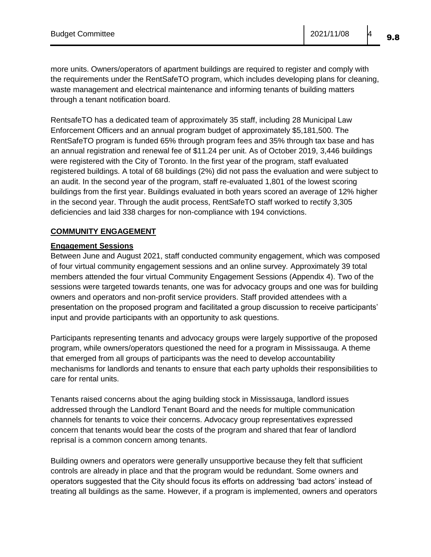more units. Owners/operators of apartment buildings are required to register and comply with the requirements under the RentSafeTO program, which includes developing plans for cleaning, waste management and electrical maintenance and informing tenants of building matters through a tenant notification board.

RentsafeTO has a dedicated team of approximately 35 staff, including 28 Municipal Law Enforcement Officers and an annual program budget of approximately \$5,181,500. The RentSafeTO program is funded 65% through program fees and 35% through tax base and has an annual registration and renewal fee of \$11.24 per unit. As of October 2019, 3,446 buildings were registered with the City of Toronto. In the first year of the program, staff evaluated registered buildings. A total of 68 buildings (2%) did not pass the evaluation and were subject to an audit. In the second year of the program, staff re-evaluated 1,801 of the lowest scoring buildings from the first year. Buildings evaluated in both years scored an average of 12% higher in the second year. Through the audit process, RentSafeTO staff worked to rectify 3,305 deficiencies and laid 338 charges for non-compliance with 194 convictions.

#### **COMMUNITY ENGAGEMENT**

#### **Engagement Sessions**

Between June and August 2021, staff conducted community engagement, which was composed of four virtual community engagement sessions and an online survey. Approximately 39 total members attended the four virtual Community Engagement Sessions (Appendix 4). Two of the sessions were targeted towards tenants, one was for advocacy groups and one was for building owners and operators and non-profit service providers. Staff provided attendees with a presentation on the proposed program and facilitated a group discussion to receive participants' input and provide participants with an opportunity to ask questions.

Participants representing tenants and advocacy groups were largely supportive of the proposed program, while owners/operators questioned the need for a program in Mississauga. A theme that emerged from all groups of participants was the need to develop accountability mechanisms for landlords and tenants to ensure that each party upholds their responsibilities to care for rental units.

Tenants raised concerns about the aging building stock in Mississauga, landlord issues addressed through the Landlord Tenant Board and the needs for multiple communication channels for tenants to voice their concerns. Advocacy group representatives expressed concern that tenants would bear the costs of the program and shared that fear of landlord reprisal is a common concern among tenants.

Building owners and operators were generally unsupportive because they felt that sufficient controls are already in place and that the program would be redundant. Some owners and operators suggested that the City should focus its efforts on addressing 'bad actors' instead of treating all buildings as the same. However, if a program is implemented, owners and operators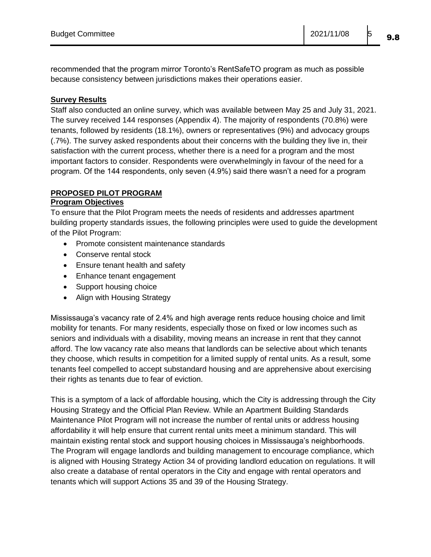recommended that the program mirror Toronto's RentSafeTO program as much as possible because consistency between jurisdictions makes their operations easier.

#### **Survey Results**

Staff also conducted an online survey, which was available between May 25 and July 31, 2021. The survey received 144 responses (Appendix 4). The majority of respondents (70.8%) were tenants, followed by residents (18.1%), owners or representatives (9%) and advocacy groups (.7%). The survey asked respondents about their concerns with the building they live in, their satisfaction with the current process, whether there is a need for a program and the most important factors to consider. Respondents were overwhelmingly in favour of the need for a program. Of the 144 respondents, only seven (4.9%) said there wasn't a need for a program

### **PROPOSED PILOT PROGRAM**

#### **Program Objectives**

To ensure that the Pilot Program meets the needs of residents and addresses apartment building property standards issues, the following principles were used to guide the development of the Pilot Program:

- Promote consistent maintenance standards
- Conserve rental stock
- Ensure tenant health and safety
- Enhance tenant engagement
- Support housing choice
- Align with Housing Strategy

Mississauga's vacancy rate of 2.4% and high average rents reduce housing choice and limit mobility for tenants. For many residents, especially those on fixed or low incomes such as seniors and individuals with a disability, moving means an increase in rent that they cannot afford. The low vacancy rate also means that landlords can be selective about which tenants they choose, which results in competition for a limited supply of rental units. As a result, some tenants feel compelled to accept substandard housing and are apprehensive about exercising their rights as tenants due to fear of eviction.

This is a symptom of a lack of affordable housing, which the City is addressing through the City Housing Strategy and the Official Plan Review. While an Apartment Building Standards Maintenance Pilot Program will not increase the number of rental units or address housing affordability it will help ensure that current rental units meet a minimum standard. This will maintain existing rental stock and support housing choices in Mississauga's neighborhoods. The Program will engage landlords and building management to encourage compliance, which is aligned with Housing Strategy Action 34 of providing landlord education on regulations. It will also create a database of rental operators in the City and engage with rental operators and tenants which will support Actions 35 and 39 of the Housing Strategy.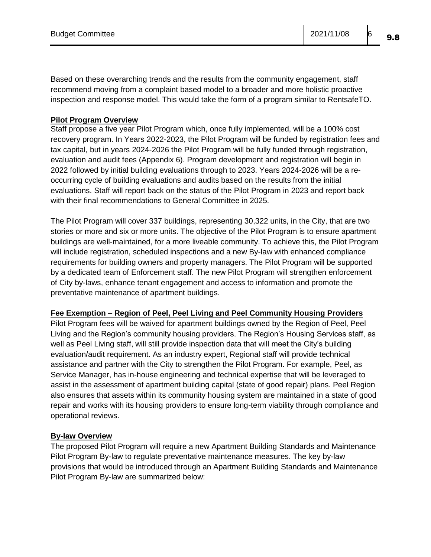Budget Committee 2021/11/08 6 9.8

Based on these overarching trends and the results from the community engagement, staff recommend moving from a complaint based model to a broader and more holistic proactive inspection and response model. This would take the form of a program similar to RentsafeTO.

#### **Pilot Program Overview**

Staff propose a five year Pilot Program which, once fully implemented, will be a 100% cost recovery program. In Years 2022-2023, the Pilot Program will be funded by registration fees and tax capital, but in years 2024-2026 the Pilot Program will be fully funded through registration, evaluation and audit fees (Appendix 6). Program development and registration will begin in 2022 followed by initial building evaluations through to 2023. Years 2024-2026 will be a reoccurring cycle of building evaluations and audits based on the results from the initial evaluations. Staff will report back on the status of the Pilot Program in 2023 and report back with their final recommendations to General Committee in 2025.

The Pilot Program will cover 337 buildings, representing 30,322 units, in the City, that are two stories or more and six or more units. The objective of the Pilot Program is to ensure apartment buildings are well-maintained, for a more liveable community. To achieve this, the Pilot Program will include registration, scheduled inspections and a new By-law with enhanced compliance requirements for building owners and property managers. The Pilot Program will be supported by a dedicated team of Enforcement staff. The new Pilot Program will strengthen enforcement of City by-laws, enhance tenant engagement and access to information and promote the preventative maintenance of apartment buildings.

#### **Fee Exemption – Region of Peel, Peel Living and Peel Community Housing Providers**

Pilot Program fees will be waived for apartment buildings owned by the Region of Peel, Peel Living and the Region's community housing providers. The Region's Housing Services staff, as well as Peel Living staff, will still provide inspection data that will meet the City's building evaluation/audit requirement. As an industry expert, Regional staff will provide technical assistance and partner with the City to strengthen the Pilot Program. For example, Peel, as Service Manager, has in-house engineering and technical expertise that will be leveraged to assist in the assessment of apartment building capital (state of good repair) plans. Peel Region also ensures that assets within its community housing system are maintained in a state of good repair and works with its housing providers to ensure long-term viability through compliance and operational reviews.

#### **By-law Overview**

The proposed Pilot Program will require a new Apartment Building Standards and Maintenance Pilot Program By-law to regulate preventative maintenance measures. The key by-law provisions that would be introduced through an Apartment Building Standards and Maintenance Pilot Program By-law are summarized below: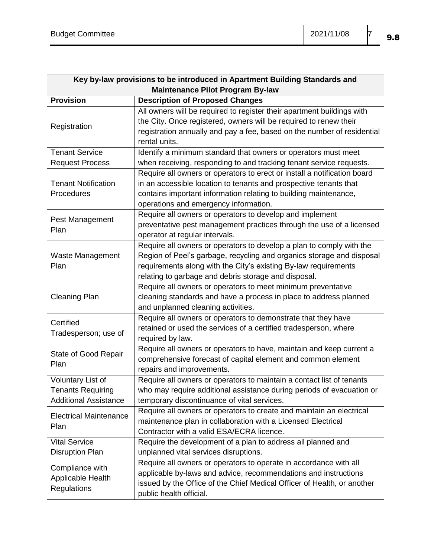| Key by-law provisions to be introduced in Apartment Building Standards and    |                                                                                                                                                                                                                                                                          |  |  |  |  |  |
|-------------------------------------------------------------------------------|--------------------------------------------------------------------------------------------------------------------------------------------------------------------------------------------------------------------------------------------------------------------------|--|--|--|--|--|
| <b>Maintenance Pilot Program By-law</b>                                       |                                                                                                                                                                                                                                                                          |  |  |  |  |  |
| <b>Provision</b>                                                              | <b>Description of Proposed Changes</b>                                                                                                                                                                                                                                   |  |  |  |  |  |
| Registration                                                                  | All owners will be required to register their apartment buildings with<br>the City. Once registered, owners will be required to renew their<br>registration annually and pay a fee, based on the number of residential<br>rental units.                                  |  |  |  |  |  |
| <b>Tenant Service</b>                                                         | Identify a minimum standard that owners or operators must meet                                                                                                                                                                                                           |  |  |  |  |  |
| <b>Request Process</b>                                                        | when receiving, responding to and tracking tenant service requests.                                                                                                                                                                                                      |  |  |  |  |  |
| <b>Tenant Notification</b><br>Procedures                                      | Require all owners or operators to erect or install a notification board<br>in an accessible location to tenants and prospective tenants that<br>contains important information relating to building maintenance,<br>operations and emergency information.               |  |  |  |  |  |
| Pest Management<br>Plan                                                       | Require all owners or operators to develop and implement<br>preventative pest management practices through the use of a licensed<br>operator at regular intervals.                                                                                                       |  |  |  |  |  |
| Waste Management<br>Plan                                                      | Require all owners or operators to develop a plan to comply with the<br>Region of Peel's garbage, recycling and organics storage and disposal<br>requirements along with the City's existing By-law requirements<br>relating to garbage and debris storage and disposal. |  |  |  |  |  |
| <b>Cleaning Plan</b>                                                          | Require all owners or operators to meet minimum preventative<br>cleaning standards and have a process in place to address planned<br>and unplanned cleaning activities.                                                                                                  |  |  |  |  |  |
| Certified<br>Tradesperson; use of                                             | Require all owners or operators to demonstrate that they have<br>retained or used the services of a certified tradesperson, where<br>required by law.                                                                                                                    |  |  |  |  |  |
| State of Good Repair<br>Plan                                                  | Require all owners or operators to have, maintain and keep current a<br>comprehensive forecast of capital element and common element<br>repairs and improvements.                                                                                                        |  |  |  |  |  |
| Voluntary List of<br><b>Tenants Requiring</b><br><b>Additional Assistance</b> | Require all owners or operators to maintain a contact list of tenants<br>who may require additional assistance during periods of evacuation or<br>temporary discontinuance of vital services.                                                                            |  |  |  |  |  |
| <b>Electrical Maintenance</b><br>Plan                                         | Require all owners or operators to create and maintain an electrical<br>maintenance plan in collaboration with a Licensed Electrical<br>Contractor with a valid ESA/ECRA licence.                                                                                        |  |  |  |  |  |
| <b>Vital Service</b>                                                          | Require the development of a plan to address all planned and                                                                                                                                                                                                             |  |  |  |  |  |
| <b>Disruption Plan</b>                                                        | unplanned vital services disruptions.                                                                                                                                                                                                                                    |  |  |  |  |  |
| Compliance with<br>Applicable Health<br><b>Regulations</b>                    | Require all owners or operators to operate in accordance with all<br>applicable by-laws and advice, recommendations and instructions<br>issued by the Office of the Chief Medical Officer of Health, or another<br>public health official.                               |  |  |  |  |  |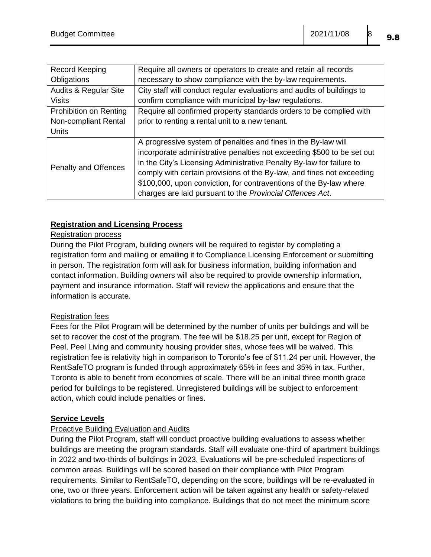| <b>Record Keeping</b>            | Require all owners or operators to create and retain all records                                                                                                                                                                                                                                                                                                                                                             |
|----------------------------------|------------------------------------------------------------------------------------------------------------------------------------------------------------------------------------------------------------------------------------------------------------------------------------------------------------------------------------------------------------------------------------------------------------------------------|
| Obligations                      | necessary to show compliance with the by-law requirements.                                                                                                                                                                                                                                                                                                                                                                   |
| <b>Audits &amp; Regular Site</b> | City staff will conduct regular evaluations and audits of buildings to                                                                                                                                                                                                                                                                                                                                                       |
| <b>Visits</b>                    | confirm compliance with municipal by-law regulations.                                                                                                                                                                                                                                                                                                                                                                        |
| Prohibition on Renting           | Require all confirmed property standards orders to be complied with                                                                                                                                                                                                                                                                                                                                                          |
| Non-compliant Rental             | prior to renting a rental unit to a new tenant.                                                                                                                                                                                                                                                                                                                                                                              |
| <b>Units</b>                     |                                                                                                                                                                                                                                                                                                                                                                                                                              |
| <b>Penalty and Offences</b>      | A progressive system of penalties and fines in the By-law will<br>incorporate administrative penalties not exceeding \$500 to be set out<br>in the City's Licensing Administrative Penalty By-law for failure to<br>comply with certain provisions of the By-law, and fines not exceeding<br>\$100,000, upon conviction, for contraventions of the By-law where<br>charges are laid pursuant to the Provincial Offences Act. |

#### **Registration and Licensing Process**

#### Registration process

During the Pilot Program, building owners will be required to register by completing a registration form and mailing or emailing it to Compliance Licensing Enforcement or submitting in person. The registration form will ask for business information, building information and contact information. Building owners will also be required to provide ownership information, payment and insurance information. Staff will review the applications and ensure that the information is accurate.

#### Registration fees

Fees for the Pilot Program will be determined by the number of units per buildings and will be set to recover the cost of the program. The fee will be \$18.25 per unit, except for Region of Peel, Peel Living and community housing provider sites, whose fees will be waived. This registration fee is relativity high in comparison to Toronto's fee of \$11.24 per unit. However, the RentSafeTO program is funded through approximately 65% in fees and 35% in tax. Further, Toronto is able to benefit from economies of scale. There will be an initial three month grace period for buildings to be registered. Unregistered buildings will be subject to enforcement action, which could include penalties or fines.

#### **Service Levels**

#### Proactive Building Evaluation and Audits

During the Pilot Program, staff will conduct proactive building evaluations to assess whether buildings are meeting the program standards. Staff will evaluate one-third of apartment buildings in 2022 and two-thirds of buildings in 2023. Evaluations will be pre-scheduled inspections of common areas. Buildings will be scored based on their compliance with Pilot Program requirements. Similar to RentSafeTO, depending on the score, buildings will be re-evaluated in one, two or three years. Enforcement action will be taken against any health or safety-related violations to bring the building into compliance. Buildings that do not meet the minimum score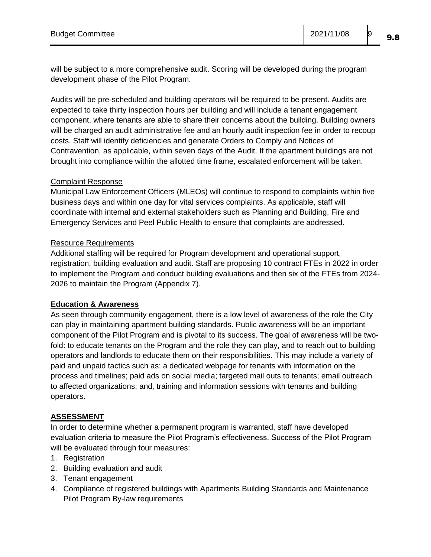will be subject to a more comprehensive audit. Scoring will be developed during the program development phase of the Pilot Program.

Audits will be pre-scheduled and building operators will be required to be present. Audits are expected to take thirty inspection hours per building and will include a tenant engagement component, where tenants are able to share their concerns about the building. Building owners will be charged an audit administrative fee and an hourly audit inspection fee in order to recoup costs. Staff will identify deficiencies and generate Orders to Comply and Notices of Contravention, as applicable, within seven days of the Audit. If the apartment buildings are not brought into compliance within the allotted time frame, escalated enforcement will be taken.

#### Complaint Response

Municipal Law Enforcement Officers (MLEOs) will continue to respond to complaints within five business days and within one day for vital services complaints. As applicable, staff will coordinate with internal and external stakeholders such as Planning and Building, Fire and Emergency Services and Peel Public Health to ensure that complaints are addressed.

#### Resource Requirements

Additional staffing will be required for Program development and operational support, registration, building evaluation and audit. Staff are proposing 10 contract FTEs in 2022 in order to implement the Program and conduct building evaluations and then six of the FTEs from 2024- 2026 to maintain the Program (Appendix 7).

#### **Education & Awareness**

As seen through community engagement, there is a low level of awareness of the role the City can play in maintaining apartment building standards. Public awareness will be an important component of the Pilot Program and is pivotal to its success. The goal of awareness will be twofold: to educate tenants on the Program and the role they can play, and to reach out to building operators and landlords to educate them on their responsibilities. This may include a variety of paid and unpaid tactics such as: a dedicated webpage for tenants with information on the process and timelines; paid ads on social media; targeted mail outs to tenants; email outreach to affected organizations; and, training and information sessions with tenants and building operators.

#### **ASSESSMENT**

In order to determine whether a permanent program is warranted, staff have developed evaluation criteria to measure the Pilot Program's effectiveness. Success of the Pilot Program will be evaluated through four measures:

- 1. Registration
- 2. Building evaluation and audit
- 3. Tenant engagement
- 4. Compliance of registered buildings with Apartments Building Standards and Maintenance Pilot Program By-law requirements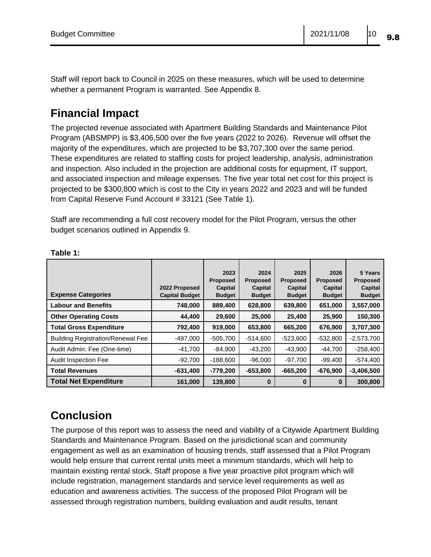Staff will report back to Council in 2025 on these measures, which will be used to determine whether a permanent Program is warranted. See Appendix 8.

### **Financial Impact**

The projected revenue associated with Apartment Building Standards and Maintenance Pilot Program (ABSMPP) is \$3,406,500 over the five years (2022 to 2026). Revenue will offset the majority of the expenditures, which are projected to be \$3,707,300 over the same period. These expenditures are related to staffing costs for project leadership, analysis, administration and inspection. Also included in the projection are additional costs for equipment, IT support, and associated inspection and mileage expenses. The five year total net cost for this project is projected to be \$300,800 which is cost to the City in years 2022 and 2023 and will be funded from Capital Reserve Fund Account # 33121 (See Table 1).

Staff are recommending a full cost recovery model for the Pilot Program, versus the other budget scenarios outlined in Appendix 9.

|                                          |                       | 2023            | 2024            | 2025            | 2026            | 5 Years         |
|------------------------------------------|-----------------------|-----------------|-----------------|-----------------|-----------------|-----------------|
|                                          |                       | <b>Proposed</b> | <b>Proposed</b> | <b>Proposed</b> | <b>Proposed</b> | <b>Proposed</b> |
|                                          | 2022 Proposed         | Capital         | Capital         | Capital         | Capital         | Capital         |
| <b>Expense Categories</b>                | <b>Capital Budget</b> | <b>Budget</b>   | <b>Budget</b>   | <b>Budget</b>   | <b>Budget</b>   | <b>Budget</b>   |
| <b>Labour and Benefits</b>               | 748,000               | 889,400         | 628,800         | 639,800         | 651,000         | 3,557,000       |
| <b>Other Operating Costs</b>             | 44,400                | 29,600          | 25,000          | 25,400          | 25,900          | 150,300         |
| <b>Total Gross Expenditure</b>           | 792,400               | 919,000         | 653,800         | 665,200         | 676,900         | 3,707,300       |
| <b>Building Registration/Renewal Fee</b> | $-497,000$            | $-505,700$      | $-514,600$      | $-523,600$      | $-532,800$      | $-2,573,700$    |
| Audit Admin. Fee (One-time)              | $-41,700$             | $-84,900$       | $-43,200$       | $-43,900$       | $-44,700$       | $-258,400$      |
| Audit Inspection Fee                     | $-92,700$             | $-188,600$      | $-96,000$       | $-97,700$       | $-99,400$       | $-574,400$      |
| <b>Total Revenues</b>                    | $-631,400$            | $-779.200$      | $-653,800$      | $-665,200$      | $-676,900$      | $-3,406,500$    |
| <b>Total Net Expenditure</b>             | 161,000               | 139,800         | 0               | O               | 0               | 300,800         |

#### **Table 1:**

## **Conclusion**

The purpose of this report was to assess the need and viability of a Citywide Apartment Building Standards and Maintenance Program. Based on the jurisdictional scan and community engagement as well as an examination of housing trends, staff assessed that a Pilot Program would help ensure that current rental units meet a minimum standards, which will help to maintain existing rental stock. Staff propose a five year proactive pilot program which will include registration, management standards and service level requirements as well as education and awareness activities. The success of the proposed Pilot Program will be assessed through registration numbers, building evaluation and audit results, tenant